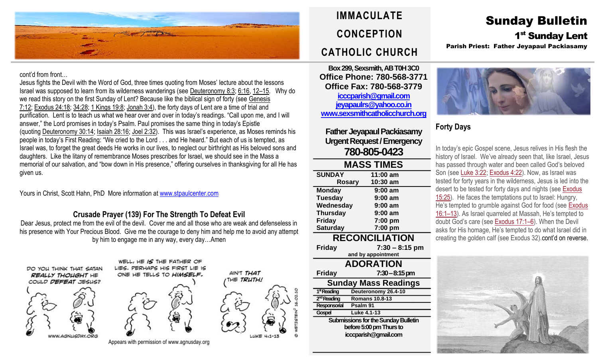

#### cont'd from front…

Jesus fights the Devil with the Word of God, three times quoting from Moses' lecture about the lessons Israel was supposed to learn from its wilderness wanderings (see [Deuteronomy](https://biblia.com/bible/rsvce/Deut%208.3) 8:3; [6:16,](https://biblia.com/bible/rsvce/Deuteronomy%206.16) 12–[15.](https://biblia.com/bible/rsvce/Deuteronomy%206.12%E2%80%9315) Why do we read this story on the first Sunday of Lent? Because like the biblical sign of forty (see [Genesis](https://biblia.com/bible/rsvce/Gen%207.12) [7:12;](https://biblia.com/bible/rsvce/Gen%207.12) [Exodus](https://biblia.com/bible/rsvce/Exod%2024.18) 24:18; [34:28;](https://biblia.com/bible/rsvce/Exodus%2034.28) 1 [Kings](https://biblia.com/bible/rsvce/1%20Kings%2019.8) 19:8; [Jonah](https://biblia.com/bible/rsvce/Jonah%203.4) 3:4), the forty days of Lent are a time of trial and purification. Lent is to teach us what we hear over and over in today's readings. "Call upon me, and I will answer," the Lord promises in today's Psalm. Paul promises the same thing in today's Epistle (quoting [Deuteronomy](https://biblia.com/bible/rsvce/Deut%2030.14) 30:14; Isaiah [28:16;](https://biblia.com/bible/rsvce/Isa%2028.16) Joel [2:32\)](https://biblia.com/bible/rsvce/Joel%202.32). This was Israel's experience, as Moses reminds his people in today's First Reading: "We cried to the Lord . . . and He heard." But each of us is tempted, as Israel was, to forget the great deeds He works in our lives, to neglect our birthright as His beloved sons and daughters. Like the litany of remembrance Moses prescribes for Israel, we should see in the Mass a memorial of our salvation, and "bow down in His presence," offering ourselves in thanksgiving for all He has given us.

Yours in Christ, Scott Hahn, PhD More information at [www.stpaulcenter.com](http://www.stpaulcenter.com/)

## **Crusade Prayer (139) For The Strength To Defeat Evil**

Dear Jesus, protect me from the evil of the devil. Cover me and all those who are weak and defenseless in his presence with Your Precious Blood. Give me the courage to deny him and help me to avoid any attempt by him to engage me in any way, every day…Amen







HE IS THE FATHER OF

AIN'T THAT

THE TRUTH!

Appears with permission of www.agnusday.org

**IMMACULATE CONCEPTION CATHOLIC CHURCH**

**Box 299, Sexsmith, AB T0H 3C0 Office Phone: 780-568-3771 Office Fax: 780-568-3779 [icccparish@gmail.com](mailto:icccparish@gmail.com) [jeyapaulrs@yahoo.co.in](mailto:jeyapaulrs@yahoo.co.in) [www.sexsmithcatholicchurch.org](http://www.sexsmithcatholicchurch.org/)**

**Father Jeyapaul Packiasamy Urgent Request/Emergency 780-805-0423**

| <b>MASS TIMES</b>           |                       |  |  |  |
|-----------------------------|-----------------------|--|--|--|
| <b>SUNDAY</b>               | 11:00 am              |  |  |  |
| Rosary                      | 10:30 am              |  |  |  |
| <b>Monday</b>               | 9:00 am               |  |  |  |
| <b>Tuesday</b>              | $9:00$ am             |  |  |  |
| Wednesday                   | 9:00 am               |  |  |  |
| <b>Thursday</b>             | 9:00 am               |  |  |  |
| <b>Friday</b>               | 7:00 pm               |  |  |  |
| <b>Saturday</b>             | 7:00 pm               |  |  |  |
| <b>RECONCILIATION</b>       |                       |  |  |  |
| <b>Friday</b>               | $7:30 - 8:15$ pm      |  |  |  |
| and by appointment          |                       |  |  |  |
| <b>ADORATION</b>            |                       |  |  |  |
| <b>Friday</b>               | $7:30 - 8:15$ pm      |  |  |  |
| <b>Sunday Mass Readings</b> |                       |  |  |  |
| 1 <sup>st</sup> Reading     | Deuteronomy 26.4-10   |  |  |  |
| 2 <sup>nd</sup> Reading     | <b>Romans 10.8-13</b> |  |  |  |
| Responsorial                | Psalm 91              |  |  |  |

**Submissions for the Sunday Bulletin before 5:00 pm Thursto icccparish@gmail.com**

**Gospel Luke 4.1-13**

In today's epic Gospel scene, Jesus relives in His flesh the history of Israel. We've already seen that, like Israel, Jesus has passed through water and been called God's beloved Son (see Luke [3:22;](https://biblia.com/bible/rsvce/Luke%203.22) [Exodus](https://biblia.com/bible/rsvce/Exod%204.22) 4:22). Now, as Israel was tested for forty years in the wilderness, Jesus is led into the desert to be tested for forty days and nights (see [Exodus](https://biblia.com/bible/rsvce/Exod%2015.25) [15:25\)](https://biblia.com/bible/rsvce/Exod%2015.25). He faces the temptations put to Israel: Hungry, He's tempted to grumble against God for food (see [Exodus](https://biblia.com/bible/rsvce/Exod%2016.1%E2%80%9313) [16:1](https://biblia.com/bible/rsvce/Exod%2016.1%E2%80%9313)–13). As Israel quarreled at Massah, He's tempted to doubt God's care (see [Exodus](https://biblia.com/bible/rsvce/Exod%2017.1%E2%80%936) 17:1–6). When the Devil asks for His homage, He's tempted to do what Israel did in creating the golden calf (see Exodus 32).cont'd on reverse.



# Sunday Bulletin 1<sup>st</sup> Sunday Lent Parish Priest: Father Jeyapaul Packiasamy



# **Forty Days**